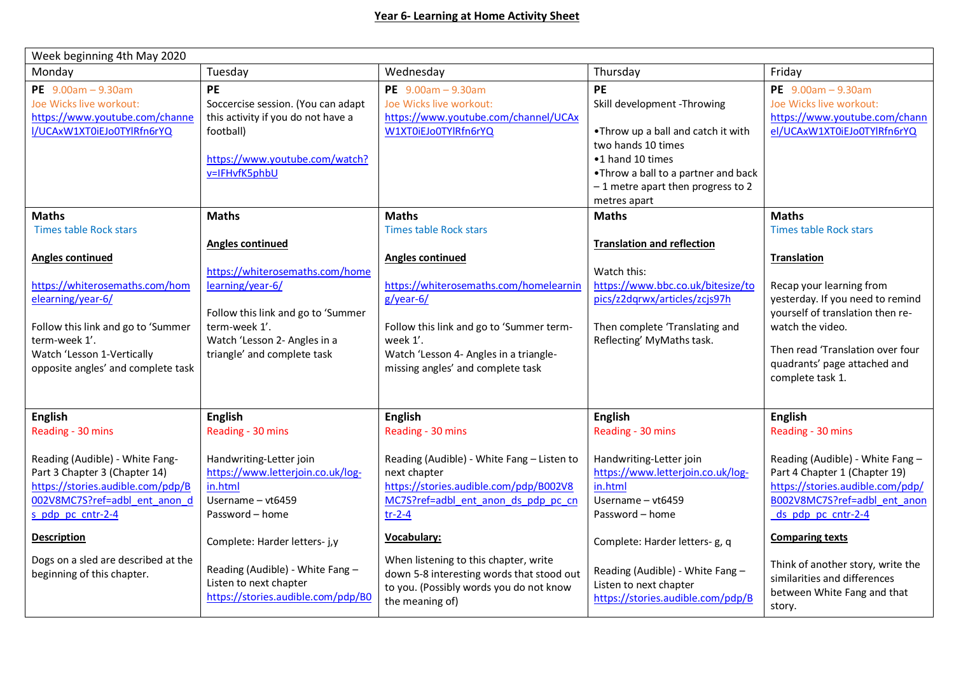| Week beginning 4th May 2020                                                                                                                                                                                                                                                 |                                                                                                                                                                                                                                                                           |                                                                                                                                                                                                                                                                                                                                                 |                                                                                                                                                                                                                                                                           |                                                                                                                                                                                                                                                                                                                          |  |  |  |  |
|-----------------------------------------------------------------------------------------------------------------------------------------------------------------------------------------------------------------------------------------------------------------------------|---------------------------------------------------------------------------------------------------------------------------------------------------------------------------------------------------------------------------------------------------------------------------|-------------------------------------------------------------------------------------------------------------------------------------------------------------------------------------------------------------------------------------------------------------------------------------------------------------------------------------------------|---------------------------------------------------------------------------------------------------------------------------------------------------------------------------------------------------------------------------------------------------------------------------|--------------------------------------------------------------------------------------------------------------------------------------------------------------------------------------------------------------------------------------------------------------------------------------------------------------------------|--|--|--|--|
| Monday                                                                                                                                                                                                                                                                      | Tuesday                                                                                                                                                                                                                                                                   | Wednesday                                                                                                                                                                                                                                                                                                                                       | Thursday                                                                                                                                                                                                                                                                  | Friday                                                                                                                                                                                                                                                                                                                   |  |  |  |  |
| PE $9.00am - 9.30am$<br>Joe Wicks live workout:<br>https://www.youtube.com/channe<br>I/UCAxW1XT0iEJo0TYlRfn6rYQ                                                                                                                                                             | <b>PE</b><br>Soccercise session. (You can adapt<br>this activity if you do not have a<br>football)<br>https://www.youtube.com/watch?<br>v=IFHvfK5phbU                                                                                                                     | PE $9.00am - 9.30am$<br>Joe Wicks live workout:<br>https://www.youtube.com/channel/UCAx<br>W1XT0iEJo0TYlRfn6rYQ                                                                                                                                                                                                                                 | PE<br>Skill development -Throwing<br>.Throw up a ball and catch it with<br>two hands 10 times<br>•1 hand 10 times<br>. Throw a ball to a partner and back<br>$-1$ metre apart then progress to 2<br>metres apart                                                          | PE $9.00am - 9.30am$<br>Joe Wicks live workout:<br>https://www.youtube.com/chann<br>el/UCAxW1XT0iEJo0TYlRfn6rYQ                                                                                                                                                                                                          |  |  |  |  |
| <b>Maths</b>                                                                                                                                                                                                                                                                | <b>Maths</b>                                                                                                                                                                                                                                                              | <b>Maths</b>                                                                                                                                                                                                                                                                                                                                    | <b>Maths</b>                                                                                                                                                                                                                                                              | <b>Maths</b>                                                                                                                                                                                                                                                                                                             |  |  |  |  |
| <b>Times table Rock stars</b><br><b>Angles continued</b><br>https://whiterosemaths.com/hom<br>elearning/year-6/<br>Follow this link and go to 'Summer<br>term-week 1'.<br>Watch 'Lesson 1-Vertically<br>opposite angles' and complete task                                  | <b>Angles continued</b><br>https://whiterosemaths.com/home<br>learning/year-6/<br>Follow this link and go to 'Summer<br>term-week 1'.<br>Watch 'Lesson 2- Angles in a<br>triangle' and complete task                                                                      | Times table Rock stars<br><b>Angles continued</b><br>https://whiterosemaths.com/homelearnin<br>g/year-6/<br>Follow this link and go to 'Summer term-<br>week 1'.<br>Watch 'Lesson 4- Angles in a triangle-<br>missing angles' and complete task                                                                                                 | <b>Translation and reflection</b><br>Watch this:<br>https://www.bbc.co.uk/bitesize/to<br>pics/z2dqrwx/articles/zcjs97h<br>Then complete 'Translating and<br>Reflecting' MyMaths task.                                                                                     | <b>Times table Rock stars</b><br><b>Translation</b><br>Recap your learning from<br>yesterday. If you need to remind<br>yourself of translation then re-<br>watch the video.<br>Then read 'Translation over four<br>quadrants' page attached and<br>complete task 1.                                                      |  |  |  |  |
| <b>English</b>                                                                                                                                                                                                                                                              | <b>English</b>                                                                                                                                                                                                                                                            | <b>English</b>                                                                                                                                                                                                                                                                                                                                  | <b>English</b>                                                                                                                                                                                                                                                            | <b>English</b>                                                                                                                                                                                                                                                                                                           |  |  |  |  |
| Reading - 30 mins<br>Reading (Audible) - White Fang-<br>Part 3 Chapter 3 (Chapter 14)<br>https://stories.audible.com/pdp/B<br>002V8MC7S?ref=adbl ent anon d<br>s pdp pc cntr-2-4<br><b>Description</b><br>Dogs on a sled are described at the<br>beginning of this chapter. | Reading - 30 mins<br>Handwriting-Letter join<br>https://www.letterjoin.co.uk/log-<br>in.html<br>Username - vt6459<br>Password - home<br>Complete: Harder letters- j,y<br>Reading (Audible) - White Fang -<br>Listen to next chapter<br>https://stories.audible.com/pdp/B0 | Reading - 30 mins<br>Reading (Audible) - White Fang - Listen to<br>next chapter<br>https://stories.audible.com/pdp/B002V8<br>MC7S?ref=adbl ent anon ds pdp pc cn<br>$tr-2-4$<br>Vocabulary:<br>When listening to this chapter, write<br>down 5-8 interesting words that stood out<br>to you. (Possibly words you do not know<br>the meaning of) | Reading - 30 mins<br>Handwriting-Letter join<br>https://www.letterjoin.co.uk/log-<br>in.html<br>Username - vt6459<br>Password - home<br>Complete: Harder letters- g, q<br>Reading (Audible) - White Fang -<br>Listen to next chapter<br>https://stories.audible.com/pdp/B | Reading - 30 mins<br>Reading (Audible) - White Fang -<br>Part 4 Chapter 1 (Chapter 19)<br>https://stories.audible.com/pdp/<br>B002V8MC7S?ref=adbl ent anon<br>ds pdp pc cntr-2-4<br><b>Comparing texts</b><br>Think of another story, write the<br>similarities and differences<br>between White Fang and that<br>story. |  |  |  |  |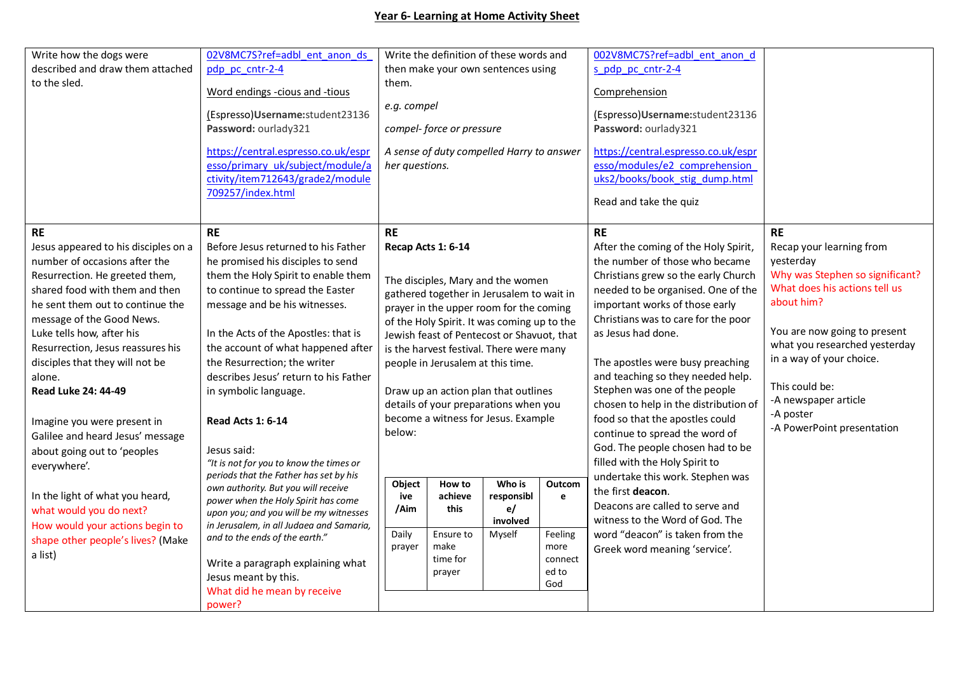## **Year 6- Learning at Home Activity Sheet**

| Write how the dogs were                                                                                        | 02V8MC7S?ref=adbl ent anon ds                                                                                                    |                                                                                        |                    | Write the definition of these words and   |                        | 002V8MC7S?ref=adbl ent anon d                                                                                                                                                                                        |                                                           |
|----------------------------------------------------------------------------------------------------------------|----------------------------------------------------------------------------------------------------------------------------------|----------------------------------------------------------------------------------------|--------------------|-------------------------------------------|------------------------|----------------------------------------------------------------------------------------------------------------------------------------------------------------------------------------------------------------------|-----------------------------------------------------------|
| described and draw them attached                                                                               | pdp pc cntr-2-4                                                                                                                  | then make your own sentences using                                                     |                    |                                           |                        | s pdp pc cntr-2-4                                                                                                                                                                                                    |                                                           |
| to the sled.                                                                                                   | Word endings -cious and -tious                                                                                                   | them.<br>e.g. compel                                                                   |                    |                                           |                        | Comprehension                                                                                                                                                                                                        |                                                           |
|                                                                                                                | (Espresso)Username:student23136                                                                                                  |                                                                                        |                    |                                           |                        | (Espresso)Username: student23136                                                                                                                                                                                     |                                                           |
|                                                                                                                | Password: ourlady321                                                                                                             | compel- force or pressure                                                              |                    |                                           |                        | Password: ourlady321                                                                                                                                                                                                 |                                                           |
|                                                                                                                | https://central.espresso.co.uk/espr<br>esso/primary uk/subject/module/a<br>ctivity/item712643/grade2/module<br>709257/index.html | her questions.                                                                         |                    | A sense of duty compelled Harry to answer |                        | https://central.espresso.co.uk/espr<br>esso/modules/e2 comprehension<br>uks2/books/book stig dump.html<br>Read and take the quiz                                                                                     |                                                           |
| <b>RE</b>                                                                                                      | <b>RE</b>                                                                                                                        | <b>RE</b>                                                                              |                    |                                           |                        | <b>RE</b>                                                                                                                                                                                                            | <b>RE</b>                                                 |
| Jesus appeared to his disciples on a<br>number of occasions after the                                          | Before Jesus returned to his Father<br>he promised his disciples to send                                                         |                                                                                        | Recap Acts 1: 6-14 |                                           |                        | After the coming of the Holy Spirit,<br>the number of those who became                                                                                                                                               | Recap your learning from<br>yesterday                     |
| Resurrection. He greeted them,                                                                                 | them the Holy Spirit to enable them                                                                                              | The disciples, Mary and the women                                                      |                    |                                           |                        | Christians grew so the early Church                                                                                                                                                                                  | Why was Stephen so significant?                           |
| shared food with them and then                                                                                 | to continue to spread the Easter                                                                                                 | gathered together in Jerusalem to wait in                                              |                    |                                           |                        | needed to be organised. One of the                                                                                                                                                                                   | What does his actions tell us                             |
| he sent them out to continue the                                                                               | message and be his witnesses.                                                                                                    | prayer in the upper room for the coming                                                |                    |                                           |                        | important works of those early                                                                                                                                                                                       | about him?                                                |
| message of the Good News.                                                                                      |                                                                                                                                  | of the Holy Spirit. It was coming up to the                                            |                    |                                           |                        | Christians was to care for the poor                                                                                                                                                                                  |                                                           |
| Luke tells how, after his                                                                                      | In the Acts of the Apostles: that is                                                                                             | Jewish feast of Pentecost or Shavuot, that                                             |                    |                                           |                        | as Jesus had done.                                                                                                                                                                                                   | You are now going to present                              |
| Resurrection, Jesus reassures his                                                                              | the account of what happened after                                                                                               | is the harvest festival. There were many                                               |                    |                                           |                        |                                                                                                                                                                                                                      | what you researched yesterday<br>in a way of your choice. |
| disciples that they will not be                                                                                | the Resurrection; the writer                                                                                                     | people in Jerusalem at this time.                                                      |                    |                                           |                        | The apostles were busy preaching                                                                                                                                                                                     |                                                           |
| alone.                                                                                                         | describes Jesus' return to his Father                                                                                            |                                                                                        |                    |                                           |                        | and teaching so they needed help.                                                                                                                                                                                    | This could be:                                            |
| Read Luke 24: 44-49                                                                                            | in symbolic language.                                                                                                            | Draw up an action plan that outlines                                                   |                    |                                           |                        | Stephen was one of the people                                                                                                                                                                                        | -A newspaper article                                      |
| Imagine you were present in<br>Galilee and heard Jesus' message<br>about going out to 'peoples<br>everywhere'. | <b>Read Acts 1: 6-14</b><br>Jesus said:<br>"It is not for you to know the times or<br>periods that the Father has set by his     | details of your preparations when you<br>become a witness for Jesus. Example<br>below: |                    |                                           |                        | chosen to help in the distribution of<br>food so that the apostles could<br>continue to spread the word of<br>God. The people chosen had to be<br>filled with the Holy Spirit to<br>undertake this work. Stephen was | -A poster<br>-A PowerPoint presentation                   |
| In the light of what you heard,                                                                                | own authority. But you will receive                                                                                              | Object<br>ive                                                                          | How to<br>achieve  | Who is<br>responsibl                      | Outcom<br>$\mathbf{e}$ | the first deacon.                                                                                                                                                                                                    |                                                           |
| what would you do next?                                                                                        | power when the Holy Spirit has come<br>upon you; and you will be my witnesses                                                    | /Aim                                                                                   | this               | e/                                        |                        | Deacons are called to serve and                                                                                                                                                                                      |                                                           |
| How would your actions begin to                                                                                | in Jerusalem, in all Judaea and Samaria,                                                                                         |                                                                                        |                    | involved                                  |                        | witness to the Word of God. The                                                                                                                                                                                      |                                                           |
| shape other people's lives? (Make                                                                              | and to the ends of the earth."                                                                                                   | Daily                                                                                  | Ensure to          | Myself                                    | Feeling                | word "deacon" is taken from the                                                                                                                                                                                      |                                                           |
| a list)                                                                                                        |                                                                                                                                  | prayer                                                                                 | make               |                                           | more                   | Greek word meaning 'service'.                                                                                                                                                                                        |                                                           |
|                                                                                                                | Write a paragraph explaining what                                                                                                |                                                                                        | time for<br>prayer |                                           | connect<br>ed to       |                                                                                                                                                                                                                      |                                                           |
|                                                                                                                | Jesus meant by this.                                                                                                             |                                                                                        |                    |                                           | God                    |                                                                                                                                                                                                                      |                                                           |
|                                                                                                                | What did he mean by receive                                                                                                      |                                                                                        |                    |                                           |                        |                                                                                                                                                                                                                      |                                                           |
|                                                                                                                | power?                                                                                                                           |                                                                                        |                    |                                           |                        |                                                                                                                                                                                                                      |                                                           |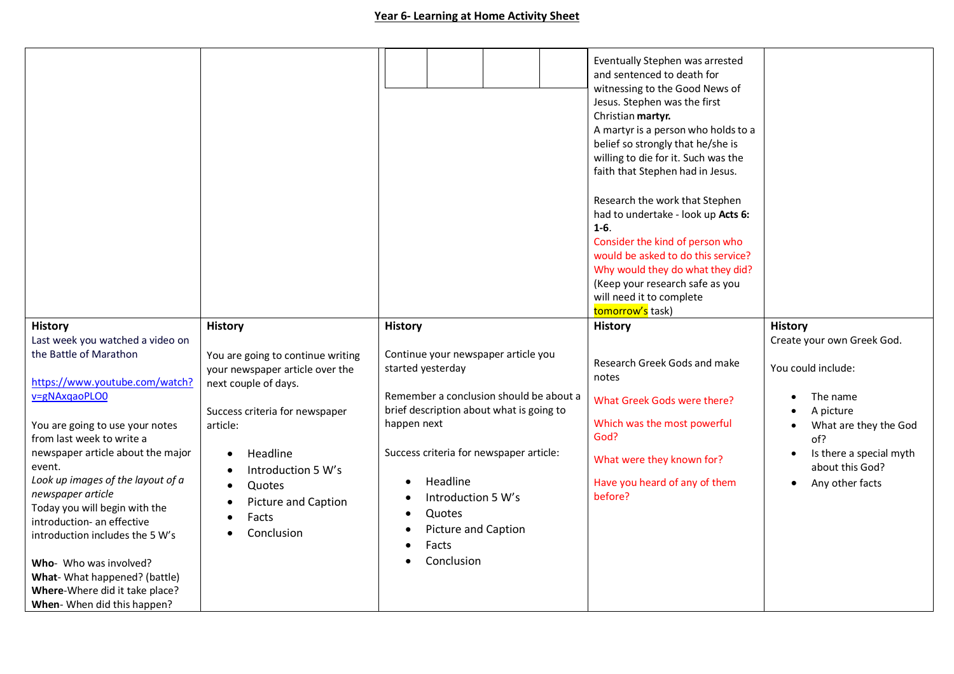|                                                                                         |                                                                                              |                                                          | Eventually Stephen was arrested<br>and sentenced to death for<br>witnessing to the Good News of<br>Jesus. Stephen was the first<br>Christian martyr.<br>A martyr is a person who holds to a<br>belief so strongly that he/she is<br>willing to die for it. Such was the<br>faith that Stephen had in Jesus.<br>Research the work that Stephen<br>had to undertake - look up Acts 6:<br>$1 - 6.$<br>Consider the kind of person who<br>would be asked to do this service?<br>Why would they do what they did?<br>(Keep your research safe as you<br>will need it to complete<br>tomorrow's task) |                                            |
|-----------------------------------------------------------------------------------------|----------------------------------------------------------------------------------------------|----------------------------------------------------------|-------------------------------------------------------------------------------------------------------------------------------------------------------------------------------------------------------------------------------------------------------------------------------------------------------------------------------------------------------------------------------------------------------------------------------------------------------------------------------------------------------------------------------------------------------------------------------------------------|--------------------------------------------|
| <b>History</b>                                                                          | <b>History</b>                                                                               | <b>History</b>                                           | <b>History</b>                                                                                                                                                                                                                                                                                                                                                                                                                                                                                                                                                                                  | <b>History</b>                             |
| Last week you watched a video on                                                        |                                                                                              |                                                          |                                                                                                                                                                                                                                                                                                                                                                                                                                                                                                                                                                                                 | Create your own Greek God.                 |
| the Battle of Marathon<br>https://www.youtube.com/watch?                                | You are going to continue writing<br>your newspaper article over the<br>next couple of days. | Continue your newspaper article you<br>started yesterday | Research Greek Gods and make<br>notes                                                                                                                                                                                                                                                                                                                                                                                                                                                                                                                                                           | You could include:                         |
| v=gNAxqaoPLO0                                                                           |                                                                                              | Remember a conclusion should be about a                  | What Greek Gods were there?                                                                                                                                                                                                                                                                                                                                                                                                                                                                                                                                                                     | The name                                   |
|                                                                                         | Success criteria for newspaper                                                               | brief description about what is going to<br>happen next  | Which was the most powerful                                                                                                                                                                                                                                                                                                                                                                                                                                                                                                                                                                     | A picture                                  |
| You are going to use your notes<br>from last week to write a                            | article:                                                                                     |                                                          | God?                                                                                                                                                                                                                                                                                                                                                                                                                                                                                                                                                                                            | What are they the God<br>of?               |
| newspaper article about the major<br>event.                                             | Headline                                                                                     | Success criteria for newspaper article:                  | What were they known for?                                                                                                                                                                                                                                                                                                                                                                                                                                                                                                                                                                       | Is there a special myth<br>about this God? |
| Look up images of the layout of a<br>newspaper article<br>Today you will begin with the | Introduction 5 W's<br>$\bullet$<br>Quotes<br><b>Picture and Caption</b><br>Facts             | Headline<br>Introduction 5 W's<br>Quotes<br>$\bullet$    | Have you heard of any of them<br>before?                                                                                                                                                                                                                                                                                                                                                                                                                                                                                                                                                        | Any other facts<br>$\bullet$               |
| introduction- an effective<br>introduction includes the 5 W's                           | Conclusion                                                                                   | <b>Picture and Caption</b><br>$\bullet$                  |                                                                                                                                                                                                                                                                                                                                                                                                                                                                                                                                                                                                 |                                            |
|                                                                                         |                                                                                              | Facts<br>$\bullet$                                       |                                                                                                                                                                                                                                                                                                                                                                                                                                                                                                                                                                                                 |                                            |
| Who- Who was involved?                                                                  |                                                                                              | Conclusion                                               |                                                                                                                                                                                                                                                                                                                                                                                                                                                                                                                                                                                                 |                                            |
| What- What happened? (battle)                                                           |                                                                                              |                                                          |                                                                                                                                                                                                                                                                                                                                                                                                                                                                                                                                                                                                 |                                            |
| Where-Where did it take place?<br>When-When did this happen?                            |                                                                                              |                                                          |                                                                                                                                                                                                                                                                                                                                                                                                                                                                                                                                                                                                 |                                            |